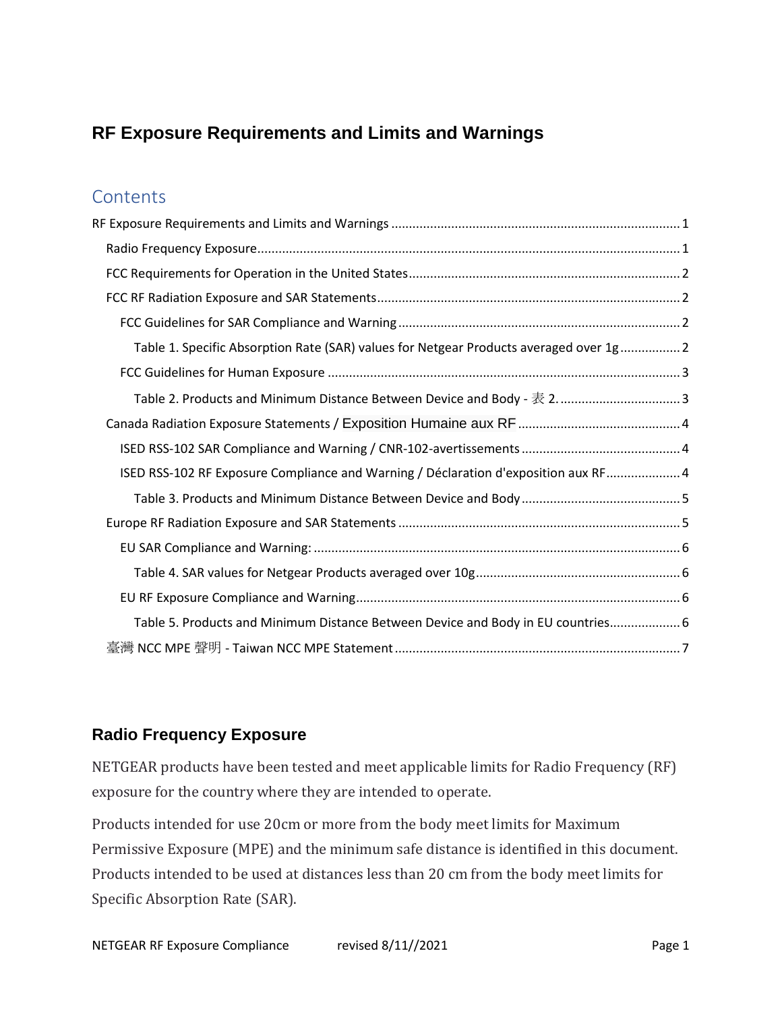# <span id="page-0-0"></span>**RF Exposure Requirements and Limits and Warnings**

### **Contents**

| Table 1. Specific Absorption Rate (SAR) values for Netgear Products averaged over 1g 2 |
|----------------------------------------------------------------------------------------|
|                                                                                        |
| Table 2. Products and Minimum Distance Between Device and Body - 表 2 3                 |
|                                                                                        |
|                                                                                        |
| ISED RSS-102 RF Exposure Compliance and Warning / Déclaration d'exposition aux RF 4    |
|                                                                                        |
|                                                                                        |
|                                                                                        |
|                                                                                        |
|                                                                                        |
| Table 5. Products and Minimum Distance Between Device and Body in EU countries6        |
|                                                                                        |

### <span id="page-0-1"></span>**Radio Frequency Exposure**

NETGEAR products have been tested and meet applicable limits for Radio Frequency (RF) exposure for the country where they are intended to operate.

Products intended for use 20cm or more from the body meet limits for Maximum Permissive Exposure (MPE) and the minimum safe distance is identified in this document. Products intended to be used at distances less than 20 cm from the body meet limits for Specific Absorption Rate (SAR).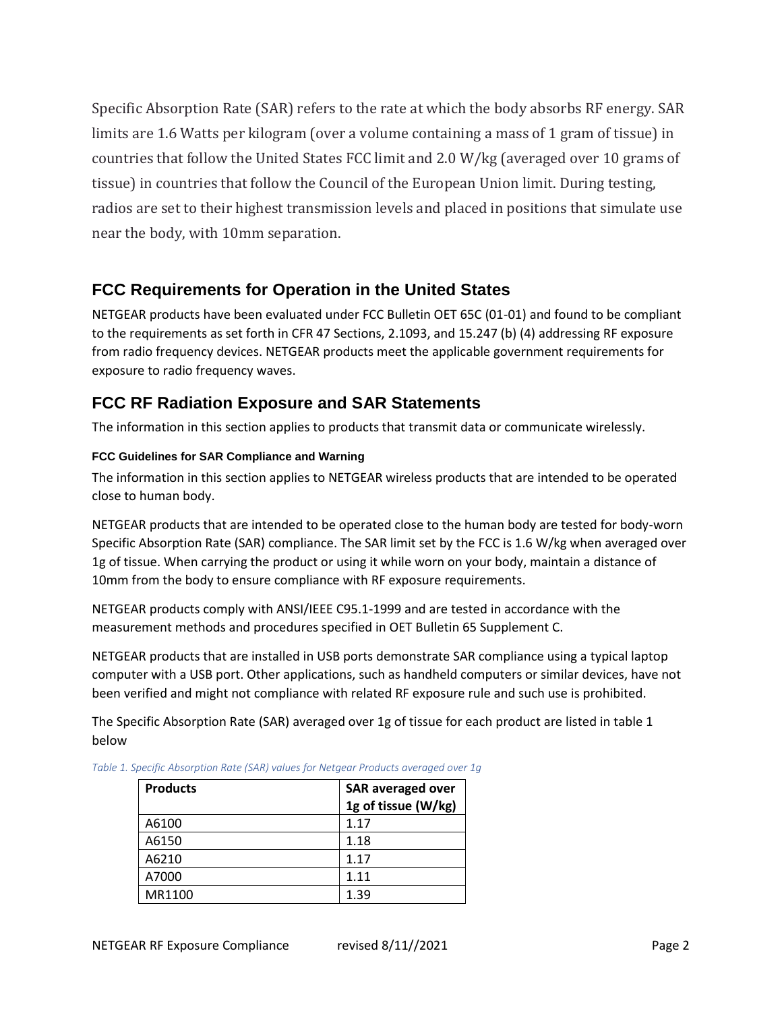Specific Absorption Rate (SAR) refers to the rate at which the body absorbs RF energy. SAR limits are 1.6 Watts per kilogram (over a volume containing a mass of 1 gram of tissue) in countries that follow the United States FCC limit and 2.0 W/kg (averaged over 10 grams of tissue) in countries that follow the Council of the European Union limit. During testing, radios are set to their highest transmission levels and placed in positions that simulate use near the body, with 10mm separation.

# <span id="page-1-0"></span>**FCC Requirements for Operation in the United States**

NETGEAR products have been evaluated under FCC Bulletin OET 65C (01-01) and found to be compliant to the requirements as set forth in CFR 47 Sections, 2.1093, and 15.247 (b) (4) addressing RF exposure from radio frequency devices. NETGEAR products meet the applicable government requirements for exposure to radio frequency waves.

# <span id="page-1-1"></span>**FCC RF Radiation Exposure and SAR Statements**

The information in this section applies to products that transmit data or communicate wirelessly.

### <span id="page-1-2"></span>**FCC Guidelines for SAR Compliance and Warning**

The information in this section applies to NETGEAR wireless products that are intended to be operated close to human body.

NETGEAR products that are intended to be operated close to the human body are tested for body-worn Specific Absorption Rate (SAR) compliance. The SAR limit set by the FCC is 1.6 W/kg when averaged over 1g of tissue. When carrying the product or using it while worn on your body, maintain a distance of 10mm from the body to ensure compliance with RF exposure requirements.

NETGEAR products comply with ANSI/IEEE C95.1-1999 and are tested in accordance with the measurement methods and procedures specified in OET Bulletin 65 Supplement C.

NETGEAR products that are installed in USB ports demonstrate SAR compliance using a typical laptop computer with a USB port. Other applications, such as handheld computers or similar devices, have not been verified and might not compliance with related RF exposure rule and such use is prohibited.

The Specific Absorption Rate (SAR) averaged over 1g of tissue for each product are listed in table 1 below

| <b>Products</b> | <b>SAR averaged over</b><br>1g of tissue (W/kg) |
|-----------------|-------------------------------------------------|
| A6100           | 1.17                                            |
| A6150           | 1.18                                            |
| A6210           | 1.17                                            |
| A7000           | 1.11                                            |
| MR1100          | 1.39                                            |

<span id="page-1-3"></span>*Table 1. Specific Absorption Rate (SAR) values for Netgear Products averaged over 1g*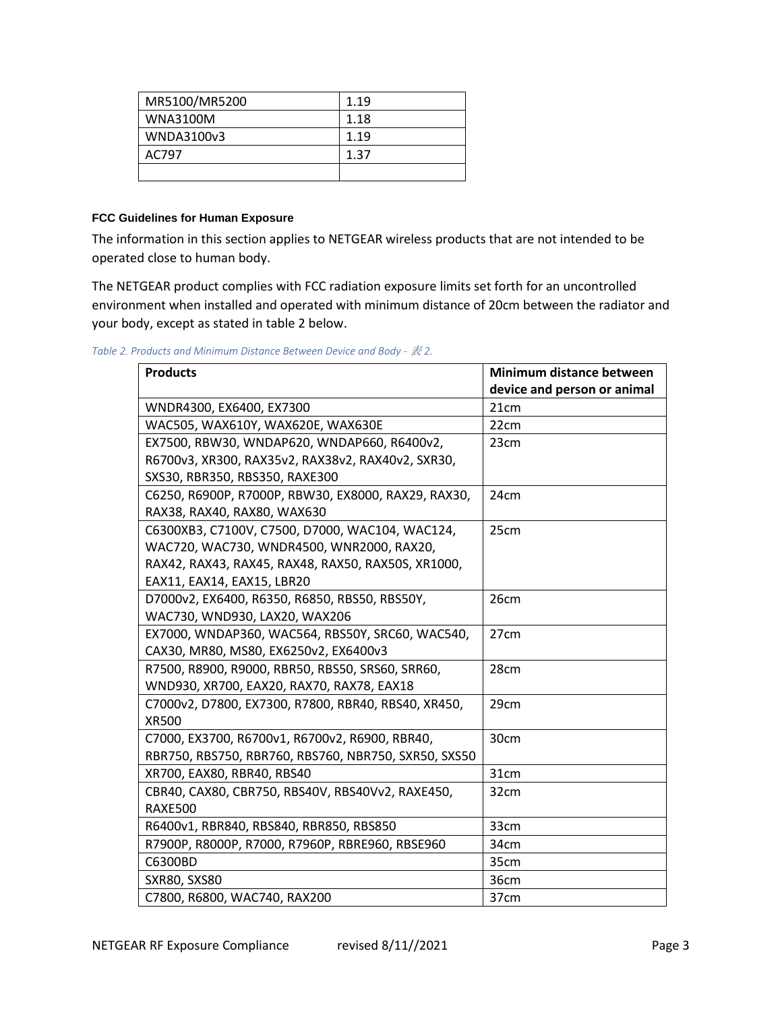| MR5100/MR5200   | 1.19 |
|-----------------|------|
| <b>WNA3100M</b> | 1.18 |
| WNDA3100v3      | 1.19 |
| AC797           | 1.37 |
|                 |      |

### <span id="page-2-0"></span>**FCC Guidelines for Human Exposure**

The information in this section applies to NETGEAR wireless products that are not intended to be operated close to human body.

The NETGEAR product complies with FCC radiation exposure limits set forth for an uncontrolled environment when installed and operated with minimum distance of 20cm between the radiator and your body, except as stated in table 2 below.

<span id="page-2-1"></span>*Table 2. Products and Minimum Distance Between Device and Body -* 表 *2.*

| <b>Products</b>                                      | Minimum distance between<br>device and person or animal |
|------------------------------------------------------|---------------------------------------------------------|
| WNDR4300, EX6400, EX7300                             | 21cm                                                    |
| WAC505, WAX610Y, WAX620E, WAX630E                    | 22cm                                                    |
| EX7500, RBW30, WNDAP620, WNDAP660, R6400v2,          | 23 <sub>cm</sub>                                        |
| R6700v3, XR300, RAX35v2, RAX38v2, RAX40v2, SXR30,    |                                                         |
| SXS30, RBR350, RBS350, RAXE300                       |                                                         |
| C6250, R6900P, R7000P, RBW30, EX8000, RAX29, RAX30,  | 24cm                                                    |
| RAX38, RAX40, RAX80, WAX630                          |                                                         |
| C6300XB3, C7100V, C7500, D7000, WAC104, WAC124,      | 25cm                                                    |
| WAC720, WAC730, WNDR4500, WNR2000, RAX20,            |                                                         |
| RAX42, RAX43, RAX45, RAX48, RAX50, RAX50S, XR1000,   |                                                         |
| EAX11, EAX14, EAX15, LBR20                           |                                                         |
| D7000v2, EX6400, R6350, R6850, RBS50, RBS50Y,        | 26cm                                                    |
| WAC730, WND930, LAX20, WAX206                        |                                                         |
| EX7000, WNDAP360, WAC564, RBS50Y, SRC60, WAC540,     | 27cm                                                    |
| CAX30, MR80, MS80, EX6250v2, EX6400v3                |                                                         |
| R7500, R8900, R9000, RBR50, RBS50, SRS60, SRR60,     | 28cm                                                    |
| WND930, XR700, EAX20, RAX70, RAX78, EAX18            |                                                         |
| C7000v2, D7800, EX7300, R7800, RBR40, RBS40, XR450,  | 29cm                                                    |
| <b>XR500</b>                                         |                                                         |
| C7000, EX3700, R6700v1, R6700v2, R6900, RBR40,       | 30cm                                                    |
| RBR750, RBS750, RBR760, RBS760, NBR750, SXR50, SXS50 |                                                         |
| XR700, EAX80, RBR40, RBS40                           | 31cm                                                    |
| CBR40, CAX80, CBR750, RBS40V, RBS40Vv2, RAXE450,     | 32cm                                                    |
| <b>RAXE500</b>                                       |                                                         |
| R6400v1, RBR840, RBS840, RBR850, RBS850              | 33cm                                                    |
| R7900P, R8000P, R7000, R7960P, RBRE960, RBSE960      | 34cm                                                    |
| C6300BD                                              | 35cm                                                    |
| <b>SXR80, SXS80</b>                                  | 36cm                                                    |
| C7800, R6800, WAC740, RAX200                         | 37cm                                                    |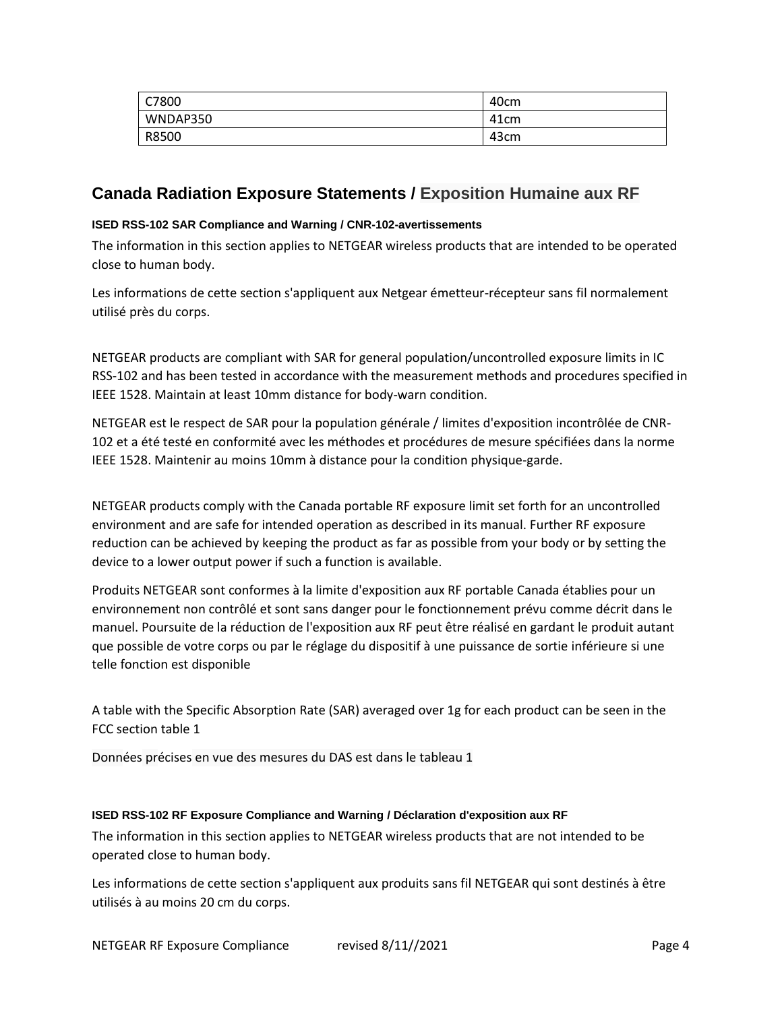| C7800    | 40cm             |
|----------|------------------|
| WNDAP350 | 41cm             |
| R8500    | 43 <sub>cm</sub> |

### <span id="page-3-0"></span>**Canada Radiation Exposure Statements / Exposition Humaine aux RF**

#### <span id="page-3-1"></span>**ISED RSS-102 SAR Compliance and Warning / CNR-102-avertissements**

The information in this section applies to NETGEAR wireless products that are intended to be operated close to human body.

Les informations de cette section s'appliquent aux Netgear émetteur-récepteur sans fil normalement utilisé près du corps.

NETGEAR products are compliant with SAR for general population/uncontrolled exposure limits in IC RSS-102 and has been tested in accordance with the measurement methods and procedures specified in IEEE 1528. Maintain at least 10mm distance for body-warn condition.

NETGEAR est le respect de SAR pour la population générale / limites d'exposition incontrôlée de CNR-102 et a été testé en conformité avec les méthodes et procédures de mesure spécifiées dans la norme IEEE 1528. Maintenir au moins 10mm à distance pour la condition physique-garde.

NETGEAR products comply with the Canada portable RF exposure limit set forth for an uncontrolled environment and are safe for intended operation as described in its manual. Further RF exposure reduction can be achieved by keeping the product as far as possible from your body or by setting the device to a lower output power if such a function is available.

Produits NETGEAR sont conformes à la limite d'exposition aux RF portable Canada établies pour un environnement non contrôlé et sont sans danger pour le fonctionnement prévu comme décrit dans le manuel. Poursuite de la réduction de l'exposition aux RF peut être réalisé en gardant le produit autant que possible de votre corps ou par le réglage du dispositif à une puissance de sortie inférieure si une telle fonction est disponible

A table with the Specific Absorption Rate (SAR) averaged over 1g for each product can be seen in the FCC section table 1

Données précises en vue des mesures du DAS est dans le tableau 1

#### <span id="page-3-2"></span>**ISED RSS-102 RF Exposure Compliance and Warning / Déclaration d'exposition aux RF**

The information in this section applies to NETGEAR wireless products that are not intended to be operated close to human body.

Les informations de cette section s'appliquent aux produits sans fil NETGEAR qui sont destinés à être utilisés à au moins 20 cm du corps.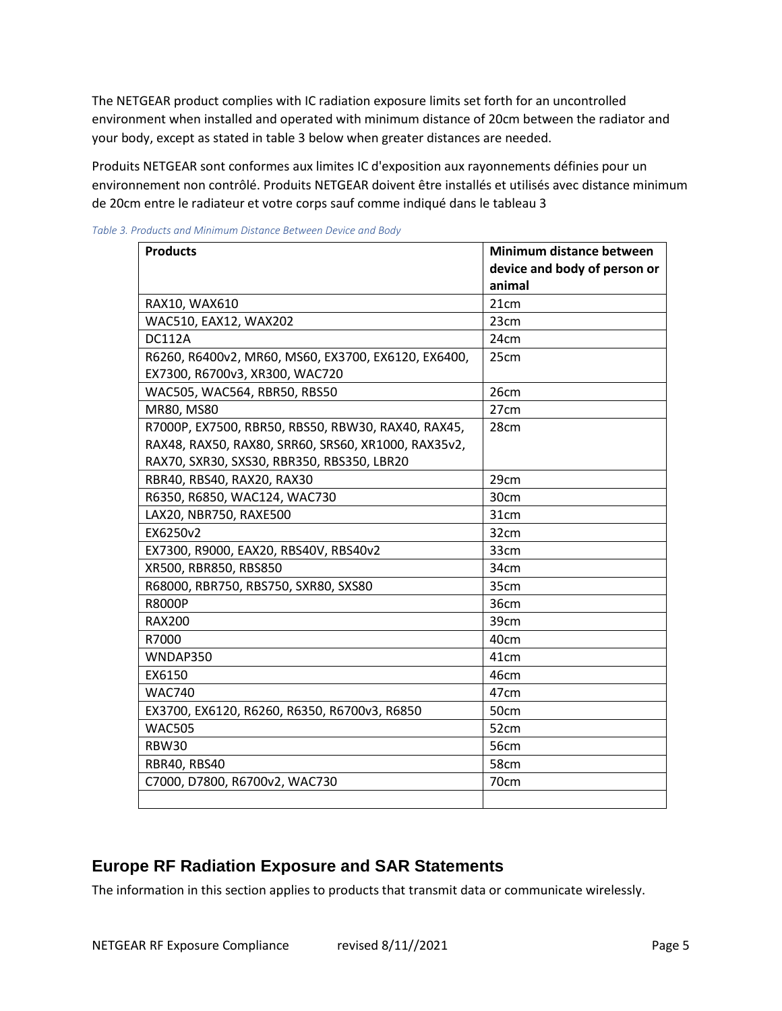The NETGEAR product complies with IC radiation exposure limits set forth for an uncontrolled environment when installed and operated with minimum distance of 20cm between the radiator and your body, except as stated in table 3 below when greater distances are needed.

Produits NETGEAR sont conformes aux limites IC d'exposition aux rayonnements définies pour un environnement non contrôlé. Produits NETGEAR doivent être installés et utilisés avec distance minimum de 20cm entre le radiateur et votre corps sauf comme indiqué dans le tableau 3

| <b>Products</b>                                     | Minimum distance between     |
|-----------------------------------------------------|------------------------------|
|                                                     | device and body of person or |
|                                                     | animal                       |
| RAX10, WAX610                                       | 21cm                         |
| WAC510, EAX12, WAX202                               | 23cm                         |
| <b>DC112A</b>                                       | 24cm                         |
| R6260, R6400v2, MR60, MS60, EX3700, EX6120, EX6400, | 25cm                         |
| EX7300, R6700v3, XR300, WAC720                      |                              |
| WAC505, WAC564, RBR50, RBS50                        | 26cm                         |
| MR80, MS80                                          | 27cm                         |
| R7000P, EX7500, RBR50, RBS50, RBW30, RAX40, RAX45,  | 28cm                         |
| RAX48, RAX50, RAX80, SRR60, SRS60, XR1000, RAX35v2, |                              |
| RAX70, SXR30, SXS30, RBR350, RBS350, LBR20          |                              |
| RBR40, RBS40, RAX20, RAX30                          | 29cm                         |
| R6350, R6850, WAC124, WAC730                        | 30cm                         |
| LAX20, NBR750, RAXE500                              | 31cm                         |
| EX6250v2                                            | 32cm                         |
| EX7300, R9000, EAX20, RBS40V, RBS40v2               | 33cm                         |
| XR500, RBR850, RBS850                               | 34cm                         |
| R68000, RBR750, RBS750, SXR80, SXS80                | 35cm                         |
| <b>R8000P</b>                                       | 36cm                         |
| <b>RAX200</b>                                       | 39cm                         |
| R7000                                               | 40cm                         |
| WNDAP350                                            | 41cm                         |
| EX6150                                              | 46cm                         |
| <b>WAC740</b>                                       | 47cm                         |
| EX3700, EX6120, R6260, R6350, R6700v3, R6850        | 50cm                         |
| <b>WAC505</b>                                       | 52cm                         |
| <b>RBW30</b>                                        | <b>56cm</b>                  |
| <b>RBR40, RBS40</b>                                 | 58cm                         |
| C7000, D7800, R6700v2, WAC730                       | 70cm                         |
|                                                     |                              |

<span id="page-4-0"></span>*Table 3. Products and Minimum Distance Between Device and Body*

### <span id="page-4-1"></span>**Europe RF Radiation Exposure and SAR Statements**

The information in this section applies to products that transmit data or communicate wirelessly.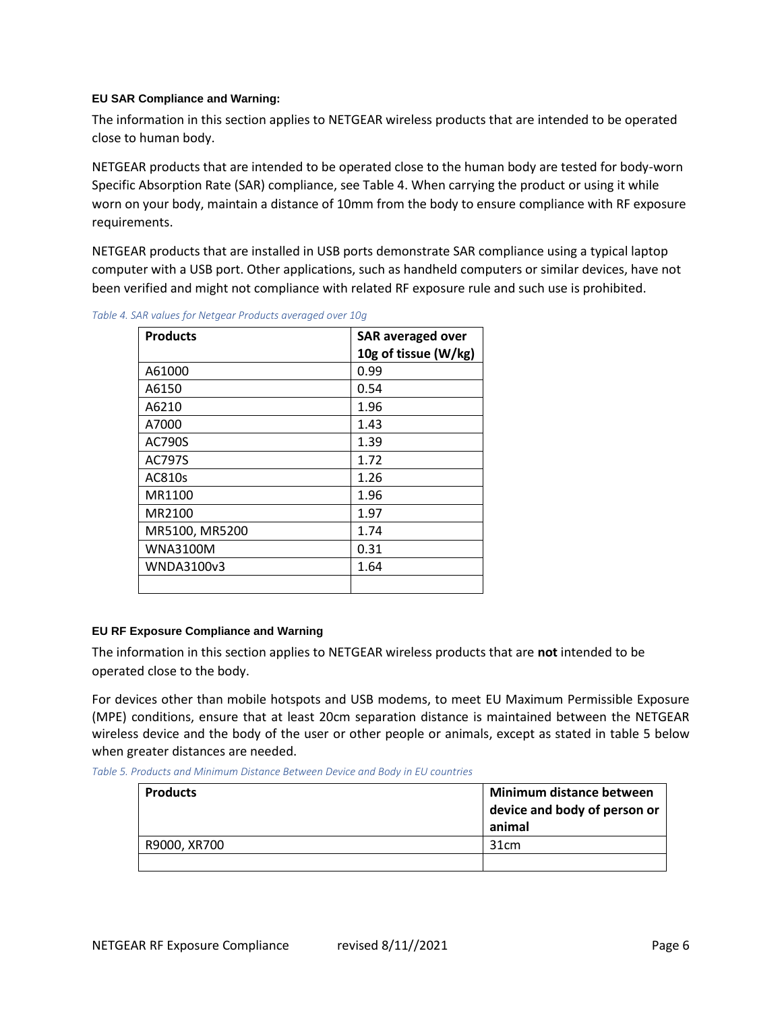#### <span id="page-5-0"></span>**EU SAR Compliance and Warning:**

The information in this section applies to NETGEAR wireless products that are intended to be operated close to human body.

NETGEAR products that are intended to be operated close to the human body are tested for body-worn Specific Absorption Rate (SAR) compliance, see Table 4. When carrying the product or using it while worn on your body, maintain a distance of 10mm from the body to ensure compliance with RF exposure requirements.

NETGEAR products that are installed in USB ports demonstrate SAR compliance using a typical laptop computer with a USB port. Other applications, such as handheld computers or similar devices, have not been verified and might not compliance with related RF exposure rule and such use is prohibited.

| <b>Products</b> | <b>SAR averaged over</b><br>10g of tissue (W/kg) |
|-----------------|--------------------------------------------------|
| A61000          | 0.99                                             |
| A6150           | 0.54                                             |
| A6210           | 1.96                                             |
| A7000           | 1.43                                             |
| AC790S          | 1.39                                             |
| <b>AC797S</b>   | 1.72                                             |
| AC810s          | 1.26                                             |
| MR1100          | 1.96                                             |
| MR2100          | 1.97                                             |
| MR5100, MR5200  | 1.74                                             |
| WNA3100M        | 0.31                                             |
| WNDA3100v3      | 1.64                                             |
|                 |                                                  |

<span id="page-5-1"></span>*Table 4. SAR values for Netgear Products averaged over 10g*

#### <span id="page-5-2"></span>**EU RF Exposure Compliance and Warning**

The information in this section applies to NETGEAR wireless products that are **not** intended to be operated close to the body.

For devices other than mobile hotspots and USB modems, to meet EU Maximum Permissible Exposure (MPE) conditions, ensure that at least 20cm separation distance is maintained between the NETGEAR wireless device and the body of the user or other people or animals, except as stated in table 5 below when greater distances are needed.

<span id="page-5-3"></span>*Table 5. Products and Minimum Distance Between Device and Body in EU countries*

| <b>Products</b> | Minimum distance between<br>device and body of person or<br>animal |
|-----------------|--------------------------------------------------------------------|
| R9000, XR700    | 31cm                                                               |
|                 |                                                                    |